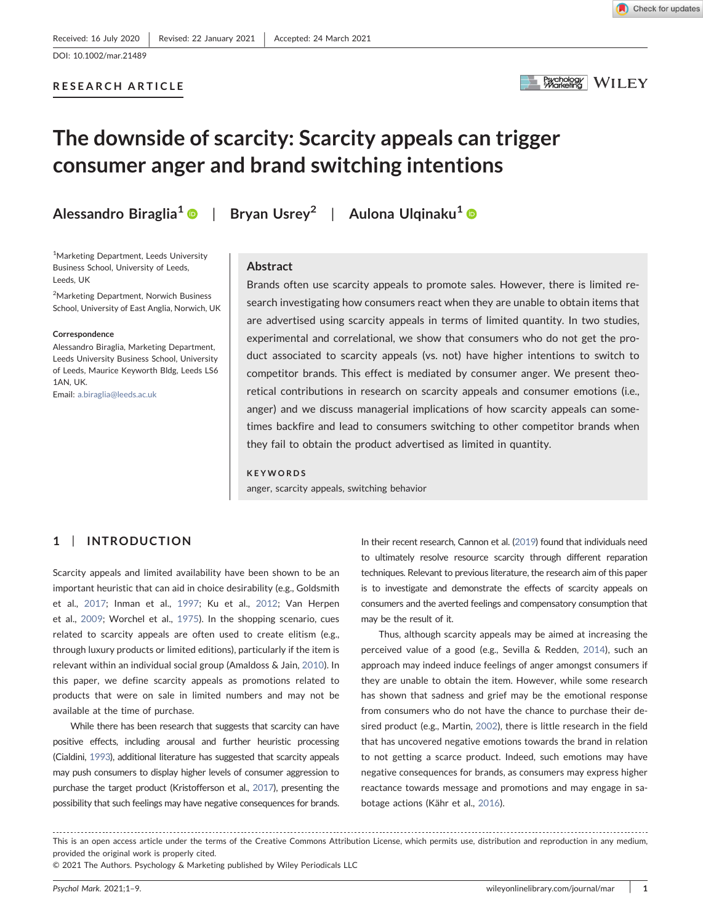RESEARCH ARTICLE

Psychology WILEY

# The downside of scarcity: Scarcity appeals can trigger consumer anger and brand switching intentions

Alessandro Biraglia<sup>[1](https://orcid.org/0000-0003-3456-6451)</sup> | Bryan Usrey<sup>2</sup> | Aulona Ulqinaku<sup>1</sup> | ®

1 Marketing Department, Leeds University Business School, University of Leeds, Leeds, UK

2 Marketing Department, Norwich Business School, University of East Anglia, Norwich, UK

#### Correspondence

Alessandro Biraglia, Marketing Department, Leeds University Business School, University of Leeds, Maurice Keyworth Bldg, Leeds LS6 1AN, UK.

Email: [a.biraglia@leeds.ac.uk](mailto:a.biraglia@leeds.ac.uk)

# Abstract

Brands often use scarcity appeals to promote sales. However, there is limited research investigating how consumers react when they are unable to obtain items that are advertised using scarcity appeals in terms of limited quantity. In two studies, experimental and correlational, we show that consumers who do not get the product associated to scarcity appeals (vs. not) have higher intentions to switch to competitor brands. This effect is mediated by consumer anger. We present theoretical contributions in research on scarcity appeals and consumer emotions (i.e., anger) and we discuss managerial implications of how scarcity appeals can sometimes backfire and lead to consumers switching to other competitor brands when they fail to obtain the product advertised as limited in quantity.

#### **KEYWORDS**

anger, scarcity appeals, switching behavior

# 1 | INTRODUCTION

Scarcity appeals and limited availability have been shown to be an important heuristic that can aid in choice desirability (e.g., Goldsmith et al., [2017;](#page-7-0) Inman et al., [1997;](#page-8-0) Ku et al., [2012](#page-8-1); Van Herpen et al., [2009](#page-8-2); Worchel et al., [1975](#page-8-3)). In the shopping scenario, cues related to scarcity appeals are often used to create elitism (e.g., through luxury products or limited editions), particularly if the item is relevant within an individual social group (Amaldoss & Jain, [2010\)](#page-7-1). In this paper, we define scarcity appeals as promotions related to products that were on sale in limited numbers and may not be available at the time of purchase.

While there has been research that suggests that scarcity can have positive effects, including arousal and further heuristic processing (Cialdini, [1993](#page-7-2)), additional literature has suggested that scarcity appeals may push consumers to display higher levels of consumer aggression to purchase the target product (Kristofferson et al., [2017\)](#page-8-4), presenting the possibility that such feelings may have negative consequences for brands.

In their recent research, Cannon et al. [\(2019\)](#page-7-3) found that individuals need to ultimately resolve resource scarcity through different reparation techniques. Relevant to previous literature, the research aim of this paper is to investigate and demonstrate the effects of scarcity appeals on consumers and the averted feelings and compensatory consumption that may be the result of it.

Thus, although scarcity appeals may be aimed at increasing the perceived value of a good (e.g., Sevilla & Redden, [2014\)](#page-8-5), such an approach may indeed induce feelings of anger amongst consumers if they are unable to obtain the item. However, while some research has shown that sadness and grief may be the emotional response from consumers who do not have the chance to purchase their desired product (e.g., Martin, [2002\)](#page-8-6), there is little research in the field that has uncovered negative emotions towards the brand in relation to not getting a scarce product. Indeed, such emotions may have negative consequences for brands, as consumers may express higher reactance towards message and promotions and may engage in sabotage actions (Kähr et al., [2016\)](#page-8-7).

This is an open access article under the terms of the Creative Commons Attribution License, which permits use, distribution and reproduction in any medium, provided the original work is properly cited.

<sup>© 2021</sup> The Authors. Psychology & Marketing published by Wiley Periodicals LLC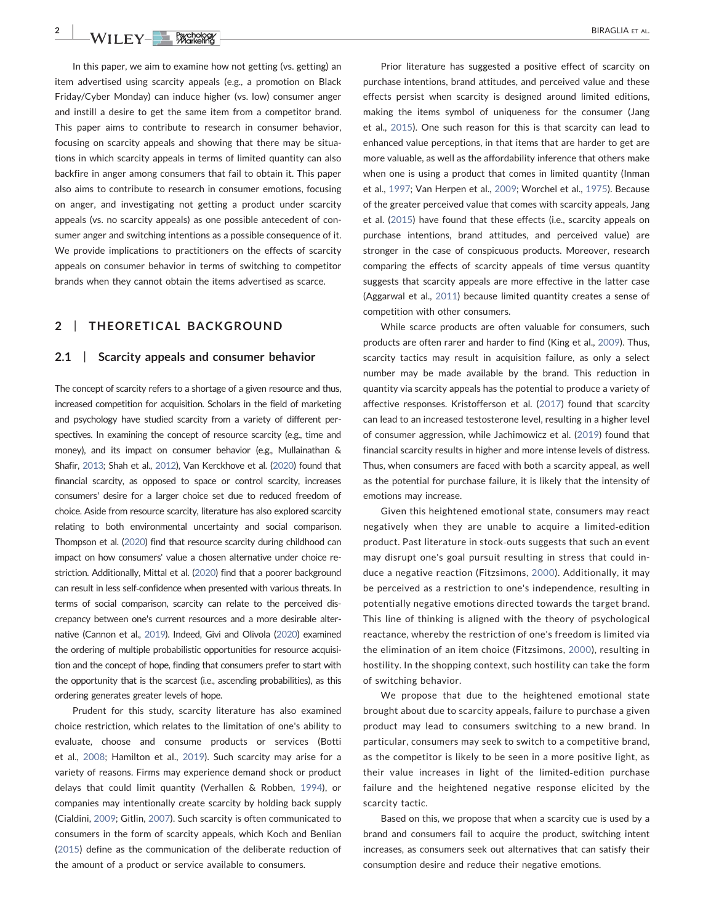**2** WII FV-**CONSIDERATION** 

In this paper, we aim to examine how not getting (vs. getting) an item advertised using scarcity appeals (e.g., a promotion on Black Friday/Cyber Monday) can induce higher (vs. low) consumer anger and instill a desire to get the same item from a competitor brand. This paper aims to contribute to research in consumer behavior, focusing on scarcity appeals and showing that there may be situations in which scarcity appeals in terms of limited quantity can also backfire in anger among consumers that fail to obtain it. This paper also aims to contribute to research in consumer emotions, focusing on anger, and investigating not getting a product under scarcity appeals (vs. no scarcity appeals) as one possible antecedent of consumer anger and switching intentions as a possible consequence of it. We provide implications to practitioners on the effects of scarcity appeals on consumer behavior in terms of switching to competitor brands when they cannot obtain the items advertised as scarce.

# 2 | THEORETICAL BACKGROUND

## 2.1 Scarcity appeals and consumer behavior

The concept of scarcity refers to a shortage of a given resource and thus, increased competition for acquisition. Scholars in the field of marketing and psychology have studied scarcity from a variety of different perspectives. In examining the concept of resource scarcity (e.g., time and money), and its impact on consumer behavior (e.g., Mullainathan & Shafir, [2013](#page-8-8); Shah et al., [2012](#page-8-9)), Van Kerckhove et al. [\(2020\)](#page-8-10) found that financial scarcity, as opposed to space or control scarcity, increases consumers' desire for a larger choice set due to reduced freedom of choice. Aside from resource scarcity, literature has also explored scarcity relating to both environmental uncertainty and social comparison. Thompson et al. [\(2020\)](#page-8-11) find that resource scarcity during childhood can impact on how consumers' value a chosen alternative under choice restriction. Additionally, Mittal et al. [\(2020\)](#page-8-12) find that a poorer background can result in less self‐confidence when presented with various threats. In terms of social comparison, scarcity can relate to the perceived discrepancy between one's current resources and a more desirable alternative (Cannon et al., [2019\)](#page-7-3). Indeed, Givi and Olivola [\(2020\)](#page-7-4) examined the ordering of multiple probabilistic opportunities for resource acquisition and the concept of hope, finding that consumers prefer to start with the opportunity that is the scarcest (i.e., ascending probabilities), as this ordering generates greater levels of hope.

Prudent for this study, scarcity literature has also examined choice restriction, which relates to the limitation of one's ability to evaluate, choose and consume products or services (Botti et al., [2008;](#page-7-5) Hamilton et al., [2019](#page-7-6)). Such scarcity may arise for a variety of reasons. Firms may experience demand shock or product delays that could limit quantity (Verhallen & Robben, [1994](#page-8-13)), or companies may intentionally create scarcity by holding back supply (Cialdini, [2009](#page-7-7); Gitlin, [2007](#page-7-8)). Such scarcity is often communicated to consumers in the form of scarcity appeals, which Koch and Benlian ([2015](#page-8-14)) define as the communication of the deliberate reduction of the amount of a product or service available to consumers.

Prior literature has suggested a positive effect of scarcity on purchase intentions, brand attitudes, and perceived value and these effects persist when scarcity is designed around limited editions, making the items symbol of uniqueness for the consumer (Jang et al., [2015\)](#page-8-15). One such reason for this is that scarcity can lead to enhanced value perceptions, in that items that are harder to get are more valuable, as well as the affordability inference that others make when one is using a product that comes in limited quantity (Inman et al., [1997;](#page-8-0) Van Herpen et al., [2009;](#page-8-2) Worchel et al., [1975\)](#page-8-3). Because of the greater perceived value that comes with scarcity appeals, Jang et al. [\(2015\)](#page-8-15) have found that these effects (i.e., scarcity appeals on purchase intentions, brand attitudes, and perceived value) are stronger in the case of conspicuous products. Moreover, research comparing the effects of scarcity appeals of time versus quantity suggests that scarcity appeals are more effective in the latter case (Aggarwal et al., [2011\)](#page-7-9) because limited quantity creates a sense of competition with other consumers.

While scarce products are often valuable for consumers, such products are often rarer and harder to find (King et al., [2009](#page-8-16)). Thus, scarcity tactics may result in acquisition failure, as only a select number may be made available by the brand. This reduction in quantity via scarcity appeals has the potential to produce a variety of affective responses. Kristofferson et al. ([2017](#page-8-4)) found that scarcity can lead to an increased testosterone level, resulting in a higher level of consumer aggression, while Jachimowicz et al. ([2019\)](#page-8-17) found that financial scarcity results in higher and more intense levels of distress. Thus, when consumers are faced with both a scarcity appeal, as well as the potential for purchase failure, it is likely that the intensity of emotions may increase.

Given this heightened emotional state, consumers may react negatively when they are unable to acquire a limited‐edition product. Past literature in stock‐outs suggests that such an event may disrupt one's goal pursuit resulting in stress that could induce a negative reaction (Fitzsimons, [2000](#page-7-10)). Additionally, it may be perceived as a restriction to one's independence, resulting in potentially negative emotions directed towards the target brand. This line of thinking is aligned with the theory of psychological reactance, whereby the restriction of one's freedom is limited via the elimination of an item choice (Fitzsimons, [2000](#page-7-10)), resulting in hostility. In the shopping context, such hostility can take the form of switching behavior.

We propose that due to the heightened emotional state brought about due to scarcity appeals, failure to purchase a given product may lead to consumers switching to a new brand. In particular, consumers may seek to switch to a competitive brand, as the competitor is likely to be seen in a more positive light, as their value increases in light of the limited‐edition purchase failure and the heightened negative response elicited by the scarcity tactic.

Based on this, we propose that when a scarcity cue is used by a brand and consumers fail to acquire the product, switching intent increases, as consumers seek out alternatives that can satisfy their consumption desire and reduce their negative emotions.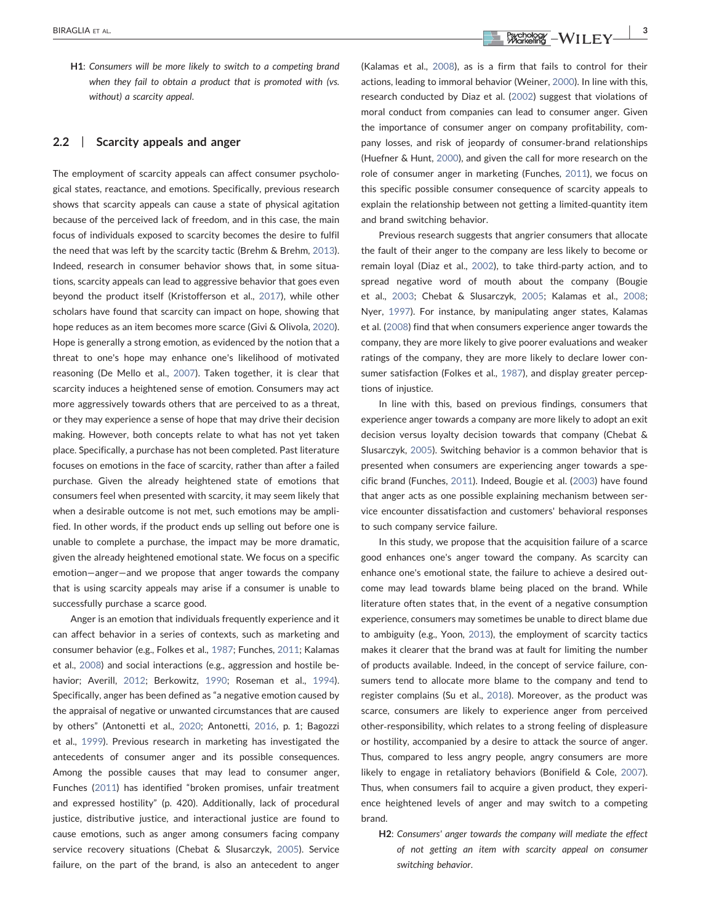H1: Consumers will be more likely to switch to a competing brand when they fail to obtain a product that is promoted with (vs. without) a scarcity appeal.

## 2.2 | Scarcity appeals and anger

The employment of scarcity appeals can affect consumer psychological states, reactance, and emotions. Specifically, previous research shows that scarcity appeals can cause a state of physical agitation because of the perceived lack of freedom, and in this case, the main focus of individuals exposed to scarcity becomes the desire to fulfil the need that was left by the scarcity tactic (Brehm & Brehm, [2013](#page-7-11)). Indeed, research in consumer behavior shows that, in some situations, scarcity appeals can lead to aggressive behavior that goes even beyond the product itself (Kristofferson et al., [2017\)](#page-8-4), while other scholars have found that scarcity can impact on hope, showing that hope reduces as an item becomes more scarce (Givi & Olivola, [2020](#page-7-4)). Hope is generally a strong emotion, as evidenced by the notion that a threat to one's hope may enhance one's likelihood of motivated reasoning (De Mello et al., [2007](#page-7-12)). Taken together, it is clear that scarcity induces a heightened sense of emotion. Consumers may act more aggressively towards others that are perceived to as a threat, or they may experience a sense of hope that may drive their decision making. However, both concepts relate to what has not yet taken place. Specifically, a purchase has not been completed. Past literature focuses on emotions in the face of scarcity, rather than after a failed purchase. Given the already heightened state of emotions that consumers feel when presented with scarcity, it may seem likely that when a desirable outcome is not met, such emotions may be amplified. In other words, if the product ends up selling out before one is unable to complete a purchase, the impact may be more dramatic, given the already heightened emotional state. We focus on a specific emotion—anger—and we propose that anger towards the company that is using scarcity appeals may arise if a consumer is unable to successfully purchase a scarce good.

Anger is an emotion that individuals frequently experience and it can affect behavior in a series of contexts, such as marketing and consumer behavior (e.g., Folkes et al., [1987;](#page-7-13) Funches, [2011;](#page-7-14) Kalamas et al., [2008\)](#page-8-18) and social interactions (e.g., aggression and hostile behavior; Averill, [2012](#page-7-15); Berkowitz, [1990](#page-7-16); Roseman et al., [1994](#page-8-19)). Specifically, anger has been defined as "a negative emotion caused by the appraisal of negative or unwanted circumstances that are caused by others" (Antonetti et al., [2020](#page-7-17); Antonetti, [2016](#page-7-18), p. 1; Bagozzi et al., [1999](#page-7-19)). Previous research in marketing has investigated the antecedents of consumer anger and its possible consequences. Among the possible causes that may lead to consumer anger, Funches [\(2011\)](#page-7-14) has identified "broken promises, unfair treatment and expressed hostility" (p. 420). Additionally, lack of procedural justice, distributive justice, and interactional justice are found to cause emotions, such as anger among consumers facing company service recovery situations (Chebat & Slusarczyk, [2005](#page-7-20)). Service failure, on the part of the brand, is also an antecedent to anger

(Kalamas et al., [2008](#page-8-18)), as is a firm that fails to control for their actions, leading to immoral behavior (Weiner, [2000\)](#page-8-20). In line with this, research conducted by Diaz et al. [\(2002\)](#page-7-21) suggest that violations of moral conduct from companies can lead to consumer anger. Given the importance of consumer anger on company profitability, company losses, and risk of jeopardy of consumer‐brand relationships (Huefner & Hunt, [2000](#page-8-21)), and given the call for more research on the role of consumer anger in marketing (Funches, [2011](#page-7-14)), we focus on this specific possible consumer consequence of scarcity appeals to explain the relationship between not getting a limited‐quantity item and brand switching behavior.

Previous research suggests that angrier consumers that allocate the fault of their anger to the company are less likely to become or remain loyal (Diaz et al., [2002](#page-7-21)), to take third‐party action, and to spread negative word of mouth about the company (Bougie et al., [2003;](#page-7-22) Chebat & Slusarczyk, [2005;](#page-7-20) Kalamas et al., [2008;](#page-8-18) Nyer, [1997\)](#page-8-22). For instance, by manipulating anger states, Kalamas et al. [\(2008\)](#page-8-18) find that when consumers experience anger towards the company, they are more likely to give poorer evaluations and weaker ratings of the company, they are more likely to declare lower consumer satisfaction (Folkes et al., [1987\)](#page-7-13), and display greater perceptions of injustice.

In line with this, based on previous findings, consumers that experience anger towards a company are more likely to adopt an exit decision versus loyalty decision towards that company (Chebat & Slusarczyk, [2005](#page-7-20)). Switching behavior is a common behavior that is presented when consumers are experiencing anger towards a specific brand (Funches, [2011\)](#page-7-14). Indeed, Bougie et al. [\(2003\)](#page-7-22) have found that anger acts as one possible explaining mechanism between service encounter dissatisfaction and customers' behavioral responses to such company service failure.

In this study, we propose that the acquisition failure of a scarce good enhances one's anger toward the company. As scarcity can enhance one's emotional state, the failure to achieve a desired outcome may lead towards blame being placed on the brand. While literature often states that, in the event of a negative consumption experience, consumers may sometimes be unable to direct blame due to ambiguity (e.g., Yoon, [2013\)](#page-8-23), the employment of scarcity tactics makes it clearer that the brand was at fault for limiting the number of products available. Indeed, in the concept of service failure, consumers tend to allocate more blame to the company and tend to register complains (Su et al., [2018](#page-8-24)). Moreover, as the product was scarce, consumers are likely to experience anger from perceived other‐responsibility, which relates to a strong feeling of displeasure or hostility, accompanied by a desire to attack the source of anger. Thus, compared to less angry people, angry consumers are more likely to engage in retaliatory behaviors (Bonifield & Cole, [2007\)](#page-7-23). Thus, when consumers fail to acquire a given product, they experience heightened levels of anger and may switch to a competing brand.

H2: Consumers' anger towards the company will mediate the effect of not getting an item with scarcity appeal on consumer switching behavior.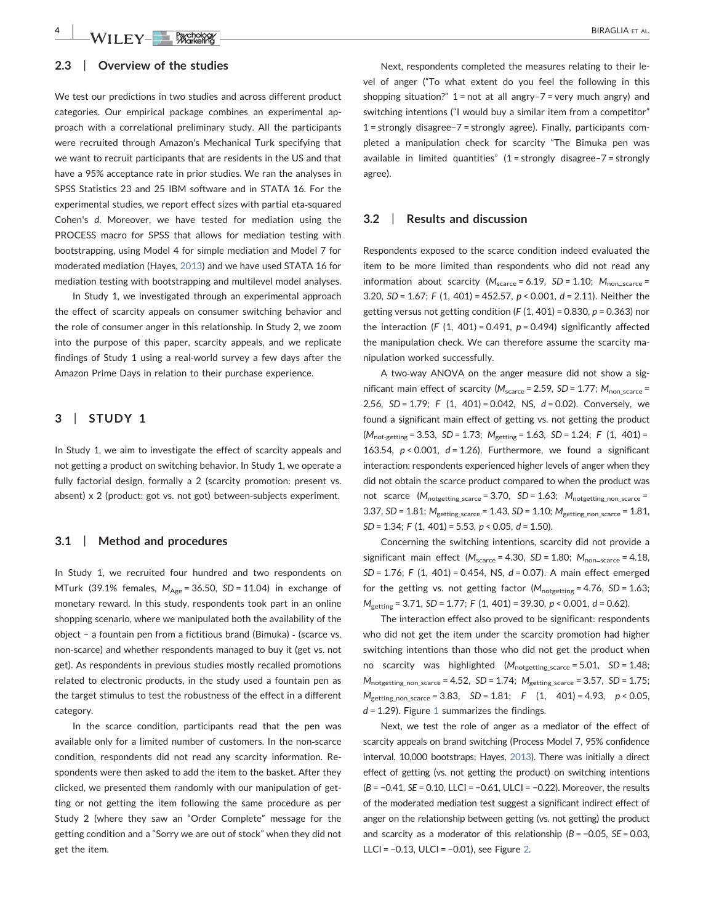# 2.3 | Overview of the studies

We test our predictions in two studies and across different product categories. Our empirical package combines an experimental approach with a correlational preliminary study. All the participants were recruited through Amazon's Mechanical Turk specifying that we want to recruit participants that are residents in the US and that have a 95% acceptance rate in prior studies. We ran the analyses in SPSS Statistics 23 and 25 IBM software and in STATA 16. For the experimental studies, we report effect sizes with partial eta‐squared Cohen's d. Moreover, we have tested for mediation using the PROCESS macro for SPSS that allows for mediation testing with bootstrapping, using Model 4 for simple mediation and Model 7 for moderated mediation (Hayes, [2013](#page-7-24)) and we have used STATA 16 for mediation testing with bootstrapping and multilevel model analyses.

In Study 1, we investigated through an experimental approach the effect of scarcity appeals on consumer switching behavior and the role of consumer anger in this relationship. In Study 2, we zoom into the purpose of this paper, scarcity appeals, and we replicate findings of Study 1 using a real‐world survey a few days after the Amazon Prime Days in relation to their purchase experience.

## 3 | STUDY 1

In Study 1, we aim to investigate the effect of scarcity appeals and not getting a product on switching behavior. In Study 1, we operate a fully factorial design, formally a 2 (scarcity promotion: present vs. absent) x 2 (product: got vs. not got) between‐subjects experiment.

#### 3.1 | Method and procedures

In Study 1, we recruited four hundred and two respondents on MTurk (39.1% females,  $M_{\text{Age}} = 36.50$ ,  $SD = 11.04$ ) in exchange of monetary reward. In this study, respondents took part in an online shopping scenario, where we manipulated both the availability of the object – a fountain pen from a fictitious brand (Bimuka) ‐ (scarce vs. non‐scarce) and whether respondents managed to buy it (get vs. not get). As respondents in previous studies mostly recalled promotions related to electronic products, in the study used a fountain pen as the target stimulus to test the robustness of the effect in a different category.

In the scarce condition, participants read that the pen was available only for a limited number of customers. In the non‐scarce condition, respondents did not read any scarcity information. Respondents were then asked to add the item to the basket. After they clicked, we presented them randomly with our manipulation of getting or not getting the item following the same procedure as per Study 2 (where they saw an "Order Complete" message for the getting condition and a "Sorry we are out of stock" when they did not get the item.

Next, respondents completed the measures relating to their level of anger ("To what extent do you feel the following in this shopping situation?"  $1 = not$  at all angry-7 = very much angry) and switching intentions ("I would buy a similar item from a competitor" 1 = strongly disagree–7 = strongly agree). Finally, participants completed a manipulation check for scarcity "The Bimuka pen was available in limited quantities" (1 = strongly disagree–7 = strongly agree).

#### 3.2 | Results and discussion

Respondents exposed to the scarce condition indeed evaluated the item to be more limited than respondents who did not read any information about scarcity ( $M_{\text{scarce}} = 6.19$ , SD = 1.10;  $M_{\text{non-scarce}} =$ 3.20,  $SD = 1.67$ ; F (1, 401) = 452.57, p < 0.001, d = 2.11). Neither the getting versus not getting condition (F  $(1, 401) = 0.830$ ,  $p = 0.363$ ) nor the interaction (F (1, 401) = 0.491,  $p = 0.494$ ) significantly affected the manipulation check. We can therefore assume the scarcity manipulation worked successfully.

A two‐way ANOVA on the anger measure did not show a significant main effect of scarcity ( $M_{\text{score}} = 2.59$ , SD = 1.77;  $M_{\text{non\_score}} =$ 2.56,  $SD = 1.79$ ; F (1, 401) = 0.042, NS,  $d = 0.02$ ). Conversely, we found a significant main effect of getting vs. not getting the product  $(M_{\text{not-getting}} = 3.53, SD = 1.73; M_{\text{getting}} = 1.63, SD = 1.24; F (1, 401) =$ 163.54,  $p < 0.001$ ,  $d = 1.26$ ). Furthermore, we found a significant interaction: respondents experienced higher levels of anger when they did not obtain the scarce product compared to when the product was not scarce  $(M_{\text{notgetting scarce}} = 3.70, SD = 1.63; M_{\text{notgetting non scarce}} =$ 3.37,  $SD = 1.81$ ;  $M_{\text{getting\_score}} = 1.43$ ,  $SD = 1.10$ ;  $M_{\text{getting\_non\_score}} = 1.81$ ,  $SD = 1.34$ ; F (1, 401) = 5.53, p < 0.05, d = 1.50).

Concerning the switching intentions, scarcity did not provide a significant main effect  $(M_{\text{scarce}} = 4.30, SD = 1.80; M_{\text{non-scarce}} = 4.18,$  $SD = 1.76$ ; F (1, 401) = 0.454, NS,  $d = 0.07$ ). A main effect emerged for the getting vs. not getting factor  $(M_{\text{notgetting}} = 4.76, SD = 1.63;$  $M_{\text{getting}} = 3.71, SD = 1.77; F (1, 401) = 39.30, p < 0.001, d = 0.62$ .

The interaction effect also proved to be significant: respondents who did not get the item under the scarcity promotion had higher switching intentions than those who did not get the product when no scarcity was highlighted  $(M_{\text{notgetting\_score}} = 5.01, SD = 1.48;$  $M_{\text{notgetting non scarce}} = 4.52$ ,  $SD = 1.74$ ;  $M_{\text{getting scarce}} = 3.57$ ,  $SD = 1.75$ ;  $M_{\text{getting\_non\_score}} = 3.83$ ,  $SD = 1.81$ ;  $F (1, 401) = 4.93$ ,  $p < 0.05$ ,  $d = 1.29$  $d = 1.29$  $d = 1.29$ ). Figure 1 summarizes the findings.

Next, we test the role of anger as a mediator of the effect of scarcity appeals on brand switching (Process Model 7, 95% confidence interval, 10,000 bootstraps; Hayes, [2013](#page-7-24)). There was initially a direct effect of getting (vs. not getting the product) on switching intentions (B = −0.41, SE = 0.10, LLCI = −0.61, ULCI = −0.22). Moreover, the results of the moderated mediation test suggest a significant indirect effect of anger on the relationship between getting (vs. not getting) the product and scarcity as a moderator of this relationship ( $B = -0.05$ ,  $SE = 0.03$ , LLCI = −0.13, ULCI = −0.01), see Figure [2](#page-4-1).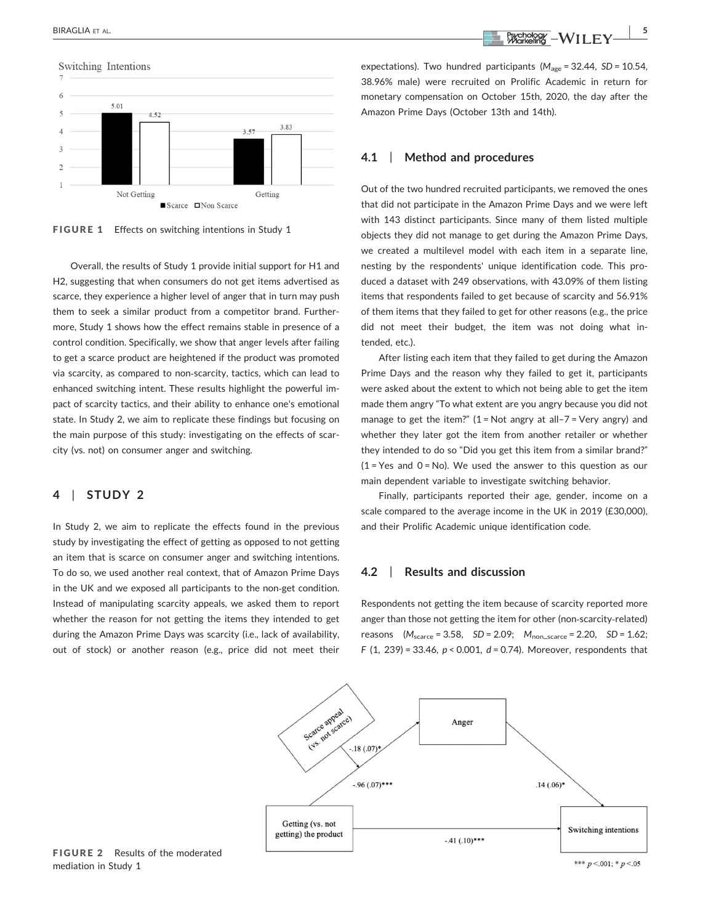<span id="page-4-0"></span>

FIGURE 1 Effects on switching intentions in Study 1

Overall, the results of Study 1 provide initial support for H1 and H2, suggesting that when consumers do not get items advertised as scarce, they experience a higher level of anger that in turn may push them to seek a similar product from a competitor brand. Furthermore, Study 1 shows how the effect remains stable in presence of a control condition. Specifically, we show that anger levels after failing to get a scarce product are heightened if the product was promoted via scarcity, as compared to non‐scarcity, tactics, which can lead to enhanced switching intent. These results highlight the powerful impact of scarcity tactics, and their ability to enhance one's emotional state. In Study 2, we aim to replicate these findings but focusing on the main purpose of this study: investigating on the effects of scarcity (vs. not) on consumer anger and switching.

# 4 | STUDY 2

<span id="page-4-1"></span>In Study 2, we aim to replicate the effects found in the previous study by investigating the effect of getting as opposed to not getting an item that is scarce on consumer anger and switching intentions. To do so, we used another real context, that of Amazon Prime Days in the UK and we exposed all participants to the non‐get condition. Instead of manipulating scarcity appeals, we asked them to report whether the reason for not getting the items they intended to get during the Amazon Prime Days was scarcity (i.e., lack of availability, out of stock) or another reason (e.g., price did not meet their

expectations). Two hundred participants ( $M_{\text{age}}$  = 32.44, SD = 10.54, 38.96% male) were recruited on Prolific Academic in return for monetary compensation on October 15th, 2020, the day after the Amazon Prime Days (October 13th and 14th).

# 4.1 | Method and procedures

Out of the two hundred recruited participants, we removed the ones that did not participate in the Amazon Prime Days and we were left with 143 distinct participants. Since many of them listed multiple objects they did not manage to get during the Amazon Prime Days, we created a multilevel model with each item in a separate line, nesting by the respondents' unique identification code. This produced a dataset with 249 observations, with 43.09% of them listing items that respondents failed to get because of scarcity and 56.91% of them items that they failed to get for other reasons (e.g., the price did not meet their budget, the item was not doing what intended, etc.).

After listing each item that they failed to get during the Amazon Prime Days and the reason why they failed to get it, participants were asked about the extent to which not being able to get the item made them angry "To what extent are you angry because you did not manage to get the item?"  $(1 = Not$  angry at all-7 = Very angry) and whether they later got the item from another retailer or whether they intended to do so "Did you get this item from a similar brand?"  $(1 = Yes$  and  $0 = No$ ). We used the answer to this question as our main dependent variable to investigate switching behavior.

Finally, participants reported their age, gender, income on a scale compared to the average income in the UK in 2019 (£30,000), and their Prolific Academic unique identification code.

# 4.2 | Results and discussion

Respondents not getting the item because of scarcity reported more anger than those not getting the item for other (non‐scarcity‐related) reasons  $(M_{\text{score}} = 3.58, SD = 2.09; M_{\text{non-score}} = 2.20, SD = 1.62;$ F (1, 239) = 33.46,  $p < 0.001$ ,  $d = 0.74$ ). Moreover, respondents that



FIGURE 2 Results of the moderated mediation in Study 1

\*\*\*  $p < 001$ : \*  $p < 05$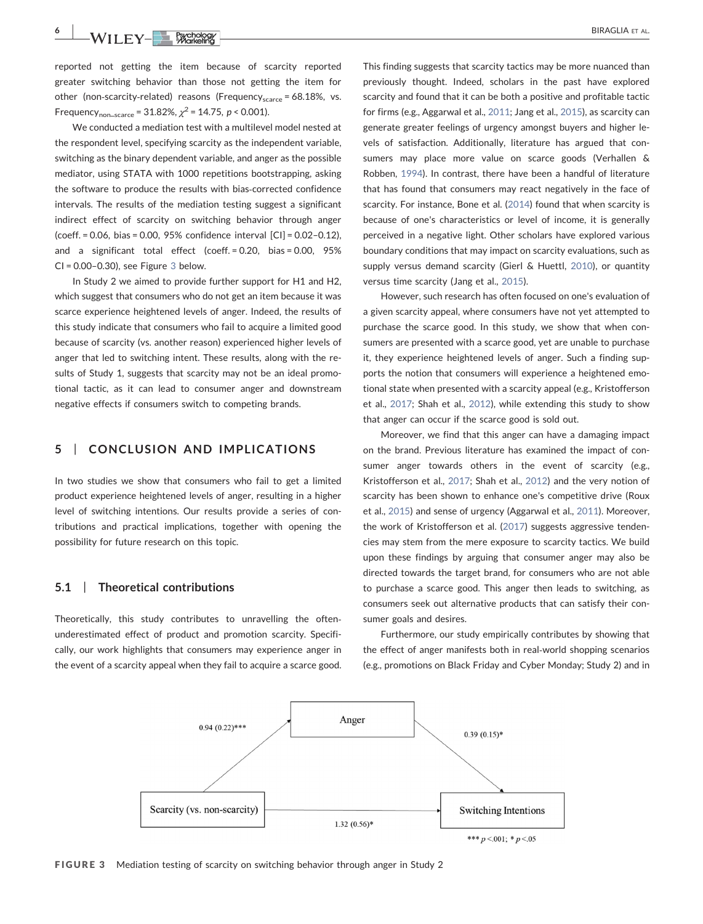reported not getting the item because of scarcity reported greater switching behavior than those not getting the item for other (non-scarcity-related) reasons (Frequency $_{\text{scarce}}$  = 68.18%, vs. Frequency<sub>non-scarce</sub> = 31.82%,  $\chi^2$  = 14.75, p < 0.001).

We conducted a mediation test with a multilevel model nested at the respondent level, specifying scarcity as the independent variable, switching as the binary dependent variable, and anger as the possible mediator, using STATA with 1000 repetitions bootstrapping, asking the software to produce the results with bias‐corrected confidence intervals. The results of the mediation testing suggest a significant indirect effect of scarcity on switching behavior through anger (coeff. = 0.06, bias = 0.00, 95% confidence interval [CI] = 0.02–0.12), and a significant total effect (coeff. = 0.20, bias = 0.00, 95% CI = 0.00–0.30), see Figure [3](#page-5-0) below.

In Study 2 we aimed to provide further support for H1 and H2, which suggest that consumers who do not get an item because it was scarce experience heightened levels of anger. Indeed, the results of this study indicate that consumers who fail to acquire a limited good because of scarcity (vs. another reason) experienced higher levels of anger that led to switching intent. These results, along with the results of Study 1, suggests that scarcity may not be an ideal promotional tactic, as it can lead to consumer anger and downstream negative effects if consumers switch to competing brands.

# 5 | CONCLUSION AND IMPLICATIONS

In two studies we show that consumers who fail to get a limited product experience heightened levels of anger, resulting in a higher level of switching intentions. Our results provide a series of contributions and practical implications, together with opening the possibility for future research on this topic.

#### 5.1 | Theoretical contributions

Theoretically, this study contributes to unravelling the often‐ underestimated effect of product and promotion scarcity. Specifically, our work highlights that consumers may experience anger in the event of a scarcity appeal when they fail to acquire a scarce good. This finding suggests that scarcity tactics may be more nuanced than previously thought. Indeed, scholars in the past have explored scarcity and found that it can be both a positive and profitable tactic for firms (e.g., Aggarwal et al., [2011](#page-7-9); Jang et al., [2015](#page-8-15)), as scarcity can generate greater feelings of urgency amongst buyers and higher levels of satisfaction. Additionally, literature has argued that consumers may place more value on scarce goods (Verhallen & Robben, [1994](#page-8-13)). In contrast, there have been a handful of literature that has found that consumers may react negatively in the face of scarcity. For instance, Bone et al. [\(2014\)](#page-7-25) found that when scarcity is because of one's characteristics or level of income, it is generally perceived in a negative light. Other scholars have explored various boundary conditions that may impact on scarcity evaluations, such as supply versus demand scarcity (Gierl & Huettl, [2010](#page-7-26)), or quantity versus time scarcity (Jang et al., [2015\)](#page-8-15).

However, such research has often focused on one's evaluation of a given scarcity appeal, where consumers have not yet attempted to purchase the scarce good. In this study, we show that when consumers are presented with a scarce good, yet are unable to purchase it, they experience heightened levels of anger. Such a finding supports the notion that consumers will experience a heightened emotional state when presented with a scarcity appeal (e.g., Kristofferson et al., [2017](#page-8-4); Shah et al., [2012\)](#page-8-9), while extending this study to show that anger can occur if the scarce good is sold out.

Moreover, we find that this anger can have a damaging impact on the brand. Previous literature has examined the impact of consumer anger towards others in the event of scarcity (e.g., Kristofferson et al., [2017](#page-8-4); Shah et al., [2012\)](#page-8-9) and the very notion of scarcity has been shown to enhance one's competitive drive (Roux et al., [2015\)](#page-8-25) and sense of urgency (Aggarwal et al., [2011](#page-7-9)). Moreover, the work of Kristofferson et al. [\(2017\)](#page-8-4) suggests aggressive tendencies may stem from the mere exposure to scarcity tactics. We build upon these findings by arguing that consumer anger may also be directed towards the target brand, for consumers who are not able to purchase a scarce good. This anger then leads to switching, as consumers seek out alternative products that can satisfy their consumer goals and desires.

Furthermore, our study empirically contributes by showing that the effect of anger manifests both in real‐world shopping scenarios (e.g., promotions on Black Friday and Cyber Monday; Study 2) and in

<span id="page-5-0"></span>

FIGURE 3 Mediation testing of scarcity on switching behavior through anger in Study 2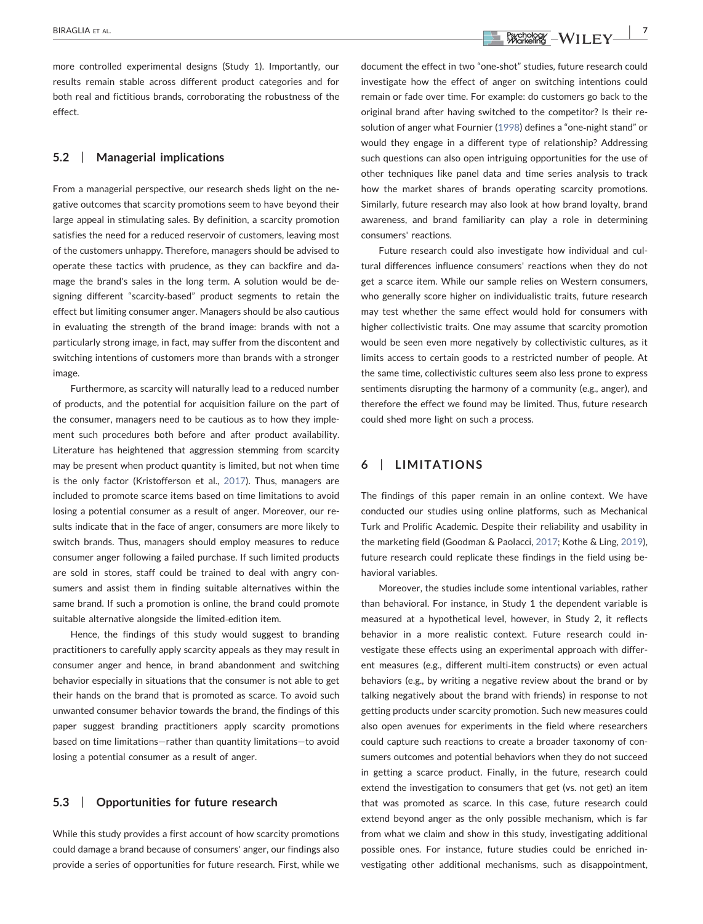more controlled experimental designs (Study 1). Importantly, our results remain stable across different product categories and for both real and fictitious brands, corroborating the robustness of the effect.

# 5.2 | Managerial implications

From a managerial perspective, our research sheds light on the negative outcomes that scarcity promotions seem to have beyond their large appeal in stimulating sales. By definition, a scarcity promotion satisfies the need for a reduced reservoir of customers, leaving most of the customers unhappy. Therefore, managers should be advised to operate these tactics with prudence, as they can backfire and damage the brand's sales in the long term. A solution would be designing different "scarcity-based" product segments to retain the effect but limiting consumer anger. Managers should be also cautious in evaluating the strength of the brand image: brands with not a particularly strong image, in fact, may suffer from the discontent and switching intentions of customers more than brands with a stronger image.

Furthermore, as scarcity will naturally lead to a reduced number of products, and the potential for acquisition failure on the part of the consumer, managers need to be cautious as to how they implement such procedures both before and after product availability. Literature has heightened that aggression stemming from scarcity may be present when product quantity is limited, but not when time is the only factor (Kristofferson et al., [2017](#page-8-4)). Thus, managers are included to promote scarce items based on time limitations to avoid losing a potential consumer as a result of anger. Moreover, our results indicate that in the face of anger, consumers are more likely to switch brands. Thus, managers should employ measures to reduce consumer anger following a failed purchase. If such limited products are sold in stores, staff could be trained to deal with angry consumers and assist them in finding suitable alternatives within the same brand. If such a promotion is online, the brand could promote suitable alternative alongside the limited‐edition item.

Hence, the findings of this study would suggest to branding practitioners to carefully apply scarcity appeals as they may result in consumer anger and hence, in brand abandonment and switching behavior especially in situations that the consumer is not able to get their hands on the brand that is promoted as scarce. To avoid such unwanted consumer behavior towards the brand, the findings of this paper suggest branding practitioners apply scarcity promotions based on time limitations—rather than quantity limitations—to avoid losing a potential consumer as a result of anger.

## 5.3 | Opportunities for future research

While this study provides a first account of how scarcity promotions could damage a brand because of consumers' anger, our findings also provide a series of opportunities for future research. First, while we document the effect in two "one‐shot" studies, future research could investigate how the effect of anger on switching intentions could remain or fade over time. For example: do customers go back to the original brand after having switched to the competitor? Is their resolution of anger what Fournier ([1998](#page-7-27)) defines a "one‐night stand" or would they engage in a different type of relationship? Addressing such questions can also open intriguing opportunities for the use of other techniques like panel data and time series analysis to track how the market shares of brands operating scarcity promotions. Similarly, future research may also look at how brand loyalty, brand awareness, and brand familiarity can play a role in determining consumers' reactions.

Future research could also investigate how individual and cultural differences influence consumers' reactions when they do not get a scarce item. While our sample relies on Western consumers, who generally score higher on individualistic traits, future research may test whether the same effect would hold for consumers with higher collectivistic traits. One may assume that scarcity promotion would be seen even more negatively by collectivistic cultures, as it limits access to certain goods to a restricted number of people. At the same time, collectivistic cultures seem also less prone to express sentiments disrupting the harmony of a community (e.g., anger), and therefore the effect we found may be limited. Thus, future research could shed more light on such a process.

# 6 | LIMITATIONS

The findings of this paper remain in an online context. We have conducted our studies using online platforms, such as Mechanical Turk and Prolific Academic. Despite their reliability and usability in the marketing field (Goodman & Paolacci, [2017;](#page-7-28) Kothe & Ling, [2019\)](#page-8-26), future research could replicate these findings in the field using behavioral variables.

Moreover, the studies include some intentional variables, rather than behavioral. For instance, in Study 1 the dependent variable is measured at a hypothetical level, however, in Study 2, it reflects behavior in a more realistic context. Future research could investigate these effects using an experimental approach with different measures (e.g., different multi‐item constructs) or even actual behaviors (e.g., by writing a negative review about the brand or by talking negatively about the brand with friends) in response to not getting products under scarcity promotion. Such new measures could also open avenues for experiments in the field where researchers could capture such reactions to create a broader taxonomy of consumers outcomes and potential behaviors when they do not succeed in getting a scarce product. Finally, in the future, research could extend the investigation to consumers that get (vs. not get) an item that was promoted as scarce. In this case, future research could extend beyond anger as the only possible mechanism, which is far from what we claim and show in this study, investigating additional possible ones. For instance, future studies could be enriched investigating other additional mechanisms, such as disappointment,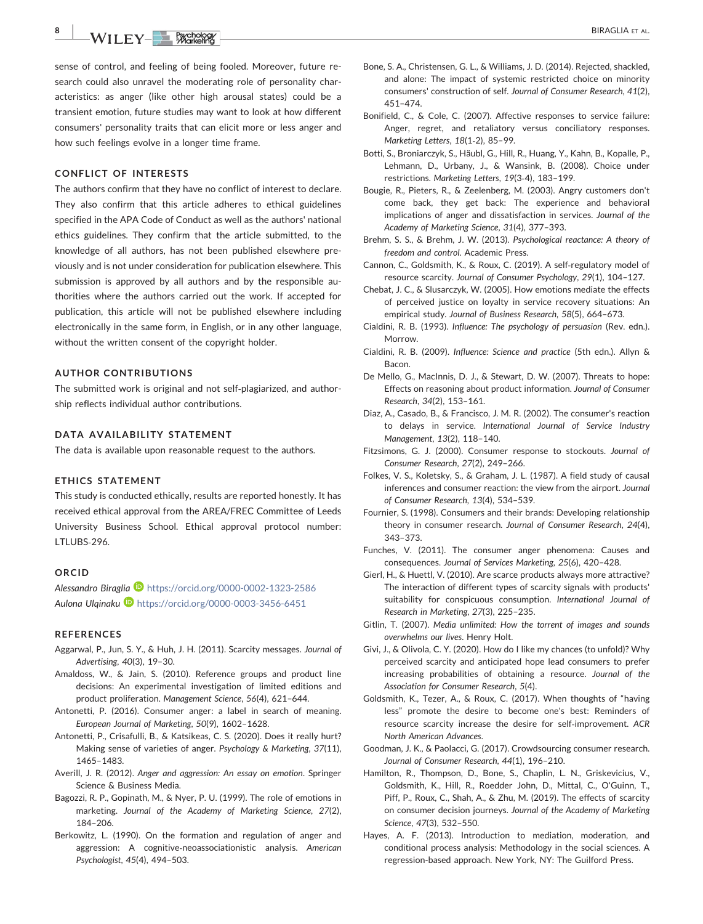$\begin{array}{|c|c|c|c|c|c|}\hline \text{BIRAGLIA ET AL.} \ \hline \text{BIRAGLIA ET AL.} \ \hline \end{array}$ 

sense of control, and feeling of being fooled. Moreover, future research could also unravel the moderating role of personality characteristics: as anger (like other high arousal states) could be a transient emotion, future studies may want to look at how different consumers' personality traits that can elicit more or less anger and how such feelings evolve in a longer time frame.

### CONFLICT OF INTERESTS

The authors confirm that they have no conflict of interest to declare. They also confirm that this article adheres to ethical guidelines specified in the APA Code of Conduct as well as the authors' national ethics guidelines. They confirm that the article submitted, to the knowledge of all authors, has not been published elsewhere previously and is not under consideration for publication elsewhere. This submission is approved by all authors and by the responsible authorities where the authors carried out the work. If accepted for publication, this article will not be published elsewhere including electronically in the same form, in English, or in any other language, without the written consent of the copyright holder.

## AUTHOR CONTRIBUTIONS

The submitted work is original and not self‐plagiarized, and authorship reflects individual author contributions.

## DATA AVAILABILITY STATEMENT

The data is available upon reasonable request to the authors.

## ETHICS STATEMENT

This study is conducted ethically, results are reported honestly. It has received ethical approval from the AREA/FREC Committee of Leeds University Business School. Ethical approval protocol number: LTLUBS‐296.

#### ORCID

Alessandro Biraglia D <https://orcid.org/0000-0002-1323-2586> Aulona Ulqinaku <https://orcid.org/0000-0003-3456-6451>

#### REFERENCES

- <span id="page-7-9"></span>Aggarwal, P., Jun, S. Y., & Huh, J. H. (2011). Scarcity messages. Journal of Advertising, 40(3), 19–30.
- <span id="page-7-1"></span>Amaldoss, W., & Jain, S. (2010). Reference groups and product line decisions: An experimental investigation of limited editions and product proliferation. Management Science, 56(4), 621–644.
- <span id="page-7-18"></span>Antonetti, P. (2016). Consumer anger: a label in search of meaning. European Journal of Marketing, 50(9), 1602–1628.
- <span id="page-7-17"></span>Antonetti, P., Crisafulli, B., & Katsikeas, C. S. (2020). Does it really hurt? Making sense of varieties of anger. Psychology & Marketing, 37(11), 1465–1483.
- <span id="page-7-15"></span>Averill, J. R. (2012). Anger and aggression: An essay on emotion. Springer Science & Business Media.
- <span id="page-7-19"></span>Bagozzi, R. P., Gopinath, M., & Nyer, P. U. (1999). The role of emotions in marketing. Journal of the Academy of Marketing Science, 27(2), 184–206.
- <span id="page-7-16"></span>Berkowitz, L. (1990). On the formation and regulation of anger and aggression: A cognitive-neoassociationistic analysis. American Psychologist, 45(4), 494–503.
- <span id="page-7-25"></span>Bone, S. A., Christensen, G. L., & Williams, J. D. (2014). Rejected, shackled, and alone: The impact of systemic restricted choice on minority consumers' construction of self. Journal of Consumer Research, 41(2), 451–474.
- <span id="page-7-23"></span>Bonifield, C., & Cole, C. (2007). Affective responses to service failure: Anger, regret, and retaliatory versus conciliatory responses. Marketing Letters, 18(1‐2), 85–99.
- <span id="page-7-5"></span>Botti, S., Broniarczyk, S., Häubl, G., Hill, R., Huang, Y., Kahn, B., Kopalle, P., Lehmann, D., Urbany, J., & Wansink, B. (2008). Choice under restrictions. Marketing Letters, 19(3‐4), 183–199.
- <span id="page-7-22"></span>Bougie, R., Pieters, R., & Zeelenberg, M. (2003). Angry customers don't come back, they get back: The experience and behavioral implications of anger and dissatisfaction in services. Journal of the Academy of Marketing Science, 31(4), 377–393.
- <span id="page-7-11"></span>Brehm, S. S., & Brehm, J. W. (2013). Psychological reactance: A theory of freedom and control. Academic Press.
- <span id="page-7-3"></span>Cannon, C., Goldsmith, K., & Roux, C. (2019). A self‐regulatory model of resource scarcity. Journal of Consumer Psychology, 29(1), 104–127.
- <span id="page-7-20"></span>Chebat, J. C., & Slusarczyk, W. (2005). How emotions mediate the effects of perceived justice on loyalty in service recovery situations: An empirical study. Journal of Business Research, 58(5), 664–673.
- <span id="page-7-2"></span>Cialdini, R. B. (1993). Influence: The psychology of persuasion (Rev. edn.). Morrow.
- <span id="page-7-7"></span>Cialdini, R. B. (2009). Influence: Science and practice (5th edn.). Allyn & **Bacon**
- <span id="page-7-12"></span>De Mello, G., MacInnis, D. J., & Stewart, D. W. (2007). Threats to hope: Effects on reasoning about product information. Journal of Consumer Research, 34(2), 153–161.
- <span id="page-7-21"></span>Diaz, A., Casado, B., & Francisco, J. M. R. (2002). The consumer's reaction to delays in service. International Journal of Service Industry Management, 13(2), 118–140.
- <span id="page-7-10"></span>Fitzsimons, G. J. (2000). Consumer response to stockouts. Journal of Consumer Research, 27(2), 249–266.
- <span id="page-7-13"></span>Folkes, V. S., Koletsky, S., & Graham, J. L. (1987). A field study of causal inferences and consumer reaction: the view from the airport. Journal of Consumer Research, 13(4), 534–539.
- <span id="page-7-27"></span>Fournier, S. (1998). Consumers and their brands: Developing relationship theory in consumer research. Journal of Consumer Research, 24(4), 343–373.
- <span id="page-7-14"></span>Funches, V. (2011). The consumer anger phenomena: Causes and consequences. Journal of Services Marketing, 25(6), 420–428.
- <span id="page-7-26"></span>Gierl, H., & Huettl, V. (2010). Are scarce products always more attractive? The interaction of different types of scarcity signals with products' suitability for conspicuous consumption. International Journal of Research in Marketing, 27(3), 225–235.
- <span id="page-7-8"></span>Gitlin, T. (2007). Media unlimited: How the torrent of images and sounds overwhelms our lives. Henry Holt.
- <span id="page-7-4"></span>Givi, J., & Olivola, C. Y. (2020). How do I like my chances (to unfold)? Why perceived scarcity and anticipated hope lead consumers to prefer increasing probabilities of obtaining a resource. Journal of the Association for Consumer Research, 5(4).
- <span id="page-7-0"></span>Goldsmith, K., Tezer, A., & Roux, C. (2017). When thoughts of "having less" promote the desire to become one's best: Reminders of resource scarcity increase the desire for self‐improvement. ACR North American Advances.
- <span id="page-7-28"></span>Goodman, J. K., & Paolacci, G. (2017). Crowdsourcing consumer research. Journal of Consumer Research, 44(1), 196–210.
- <span id="page-7-6"></span>Hamilton, R., Thompson, D., Bone, S., Chaplin, L. N., Griskevicius, V., Goldsmith, K., Hill, R., Roedder John, D., Mittal, C., O'Guinn, T., Piff, P., Roux, C., Shah, A., & Zhu, M. (2019). The effects of scarcity on consumer decision journeys. Journal of the Academy of Marketing Science, 47(3), 532–550.
- <span id="page-7-24"></span>Hayes, A. F. (2013). Introduction to mediation, moderation, and conditional process analysis: Methodology in the social sciences. A regression-based approach. New York, NY: The Guilford Press.